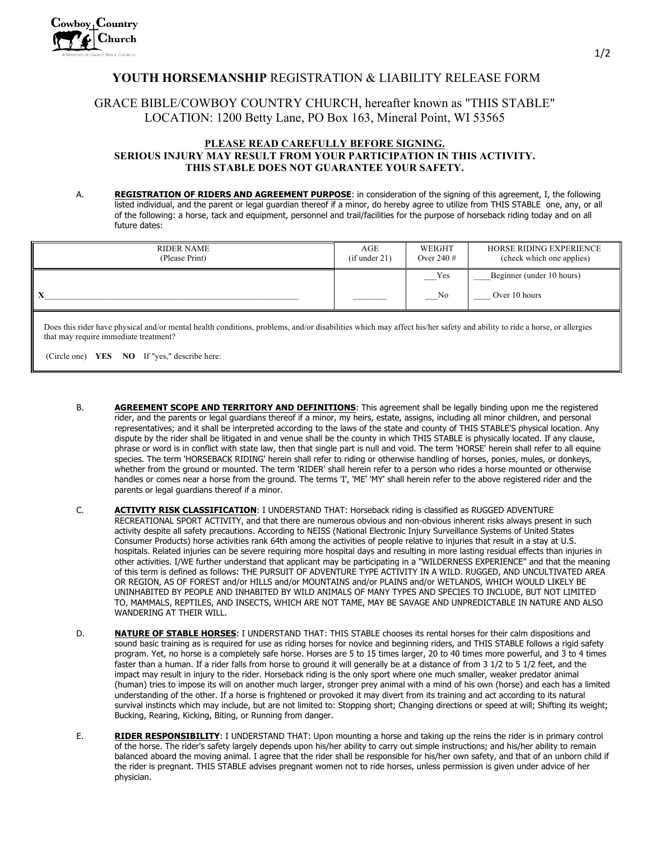## **YOUTH HORSEMANSHIP** REGISTRATION & LIABILITY RELEASE FORM

## GRACE BIBLE/COWBOY COUNTRY CHURCH, hereafter known as "THIS STABLE" LOCATION: 1200 Betty Lane, PO Box 163, Mineral Point, WI 53565

## **PLEASE READ CAREFULLY BEFORE SIGNING. SERIOUS INJURY MAY RESULT FROM YOUR PARTICIPATION IN THIS ACTIVITY. THIS STABLE DOES NOT GUARANTEE YOUR SAFETY.**

A. **REGISTRATION OF RIDERS AND AGREEMENT PURPOSE**: in consideration of the signing of this agreement, I, the following listed individual, and the parent or legal guardian thereof if a minor, do hereby agree to utilize from THIS STABLE one, any, or all of the following: a horse, tack and equipment, personnel and trail/facilities for the purpose of horseback riding today and on all future dates:

| RIDER NAME<br>(Please Print) | AGE<br>(if under 21) | WEIGHT<br>Over 240 $#$ | HORSE RIDING EXPERIENCE<br>(check which one applies) |
|------------------------------|----------------------|------------------------|------------------------------------------------------|
|                              |                      | Yes                    | Beginner (under 10 hours)                            |
|                              |                      | No                     | Over 10 hours                                        |

Does this rider have physical and/or mental health conditions, problems, and/or disabilities which may affect his/her safety and ability to ride a horse, or allergies that may require immediate treatment?

(Circle one) **YES NO** If "yes," describe here:

- B. **AGREEMENT SCOPE AND TERRITORY AND DEFINITIONS**: This agreement shall be legally binding upon me the registered rider, and the parents or legal guardians thereof if a minor, my heirs, estate, assigns, including all minor children, and personal representatives; and it shall be interpreted according to the laws of the state and county of THIS STABLE'S physical location. Any dispute by the rider shall be litigated in and venue shall be the county in which THIS STABLE is physically located. If any clause, phrase or word is in conflict with state law, then that single part is null and void. The term 'HORSE' herein shall refer to all equine species. The term 'HORSEBACK RIDING' herein shall refer to riding or otherwise handling of horses, ponies, mules, or donkeys, whether from the ground or mounted. The term 'RIDER' shall herein refer to a person who rides a horse mounted or otherwise handles or comes near a horse from the ground. The terms 'I', 'ME' 'MY' shall herein refer to the above registered rider and the parents or legal guardians thereof if a minor.
- C. **ACTIVITY RISK CLASSIFICATION**: I UNDERSTAND THAT: Horseback riding is classified as RUGGED ADVENTURE RECREATIONAL SPORT ACTIVITY, and that there are numerous obvious and non-obvious inherent risks always present in such activity despite all safety precautions. According to NEISS (National Electronic Injury Surveillance Systems of United States Consumer Products) horse activities rank 64th among the activities of people relative to injuries that result in a stay at U.S. hospitals. Related injuries can be severe requiring more hospital days and resulting in more lasting residual effects than injuries in other activities. I/WE further understand that applicant may be participating in a "WILDERNESS EXPERIENCE" and that the meaning of this term is defined as follows: THE PURSUIT OF ADVENTURE TYPE ACTIVITY IN A WILD. RUGGED, AND UNCULTIVATED AREA OR REGION, AS OF FOREST and/or HILLS and/or MOUNTAINS and/or PLAINS and/or WETLANDS, WHICH WOULD LIKELY BE UNINHABITED BY PEOPLE AND INHABITED BY WILD ANIMALS OF MANY TYPES AND SPECIES TO INCLUDE, BUT NOT LIMITED TO, MAMMALS, REPTILES, AND INSECTS, WHICH ARE NOT TAME, MAY BE SAVAGE AND UNPREDICTABLE IN NATURE AND ALSO WANDERING AT THEIR WILL.
- D. **NATURE OF STABLE HORSES**: I UNDERSTAND THAT: THIS STABLE chooses its rental horses for their calm dispositions and sound basic training as is required for use as riding horses for novice and beginning riders, and THIS STABLE follows a rigid safety program. Yet, no horse is a completely safe horse. Horses are 5 to 15 times larger, 20 to 40 times more powerful, and 3 to 4 times faster than a human. If a rider falls from horse to ground it will generally be at a distance of from 3 1/2 to 5 1/2 feet, and the impact may result in injury to the rider. Horseback riding is the only sport where one much smaller, weaker predator animal (human) tries to impose its will on another much larger, stronger prey animal with a mind of his own (horse) and each has a limited understanding of the other. If a horse is frightened or provoked it may divert from its training and act according to its natural survival instincts which may include, but are not limited to: Stopping short; Changing directions or speed at will; Shifting its weight; Bucking, Rearing, Kicking, Biting, or Running from danger.
- E. **RIDER RESPONSIBILITY**: I UNDERSTAND THAT: Upon mounting a horse and taking up the reins the rider is in primary control of the horse. The rider's safety largely depends upon his/her ability to carry out simple instructions; and his/her ability to remain balanced aboard the moving animal. I agree that the rider shall be responsible for his/her own safety, and that of an unborn child if the rider is pregnant. THIS STABLE advises pregnant women not to ride horses, unless permission is given under advice of her physician.